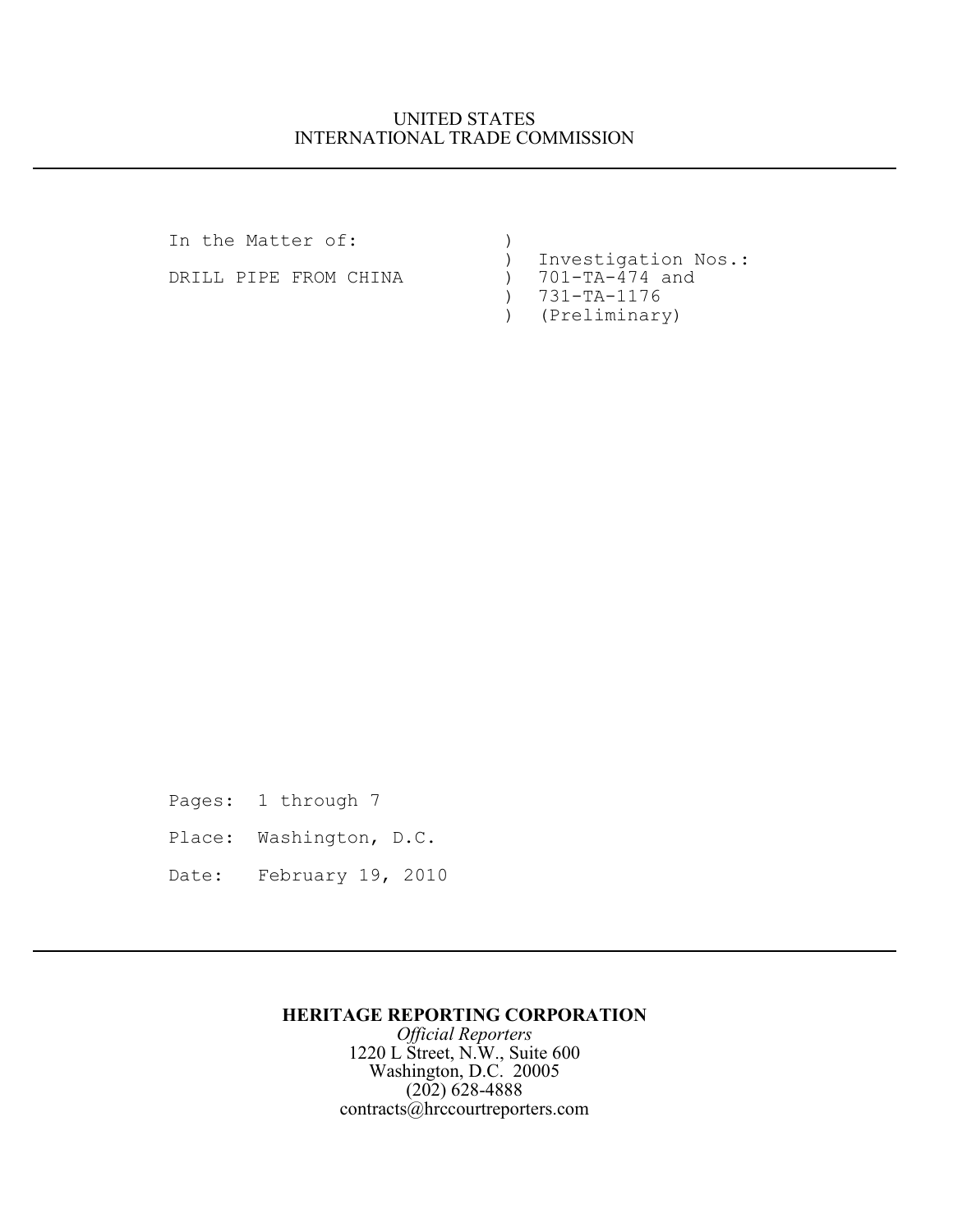## UNITED STATES INTERNATIONAL TRADE COMMISSION

In the Matter of:  $)$ DRILL PIPE FROM CHINA (1)

) Investigation Nos.:<br>
) 701-TA-474 and ) 731-TA-1176 ) (Preliminary)

Pages: 1 through 7 Place: Washington, D.C. Date: February 19, 2010

## **HERITAGE REPORTING CORPORATION**

*Official Reporters* 1220 L Street, N.W., Suite 600 Washington, D.C. 20005 (202) 628-4888 contracts@hrccourtreporters.com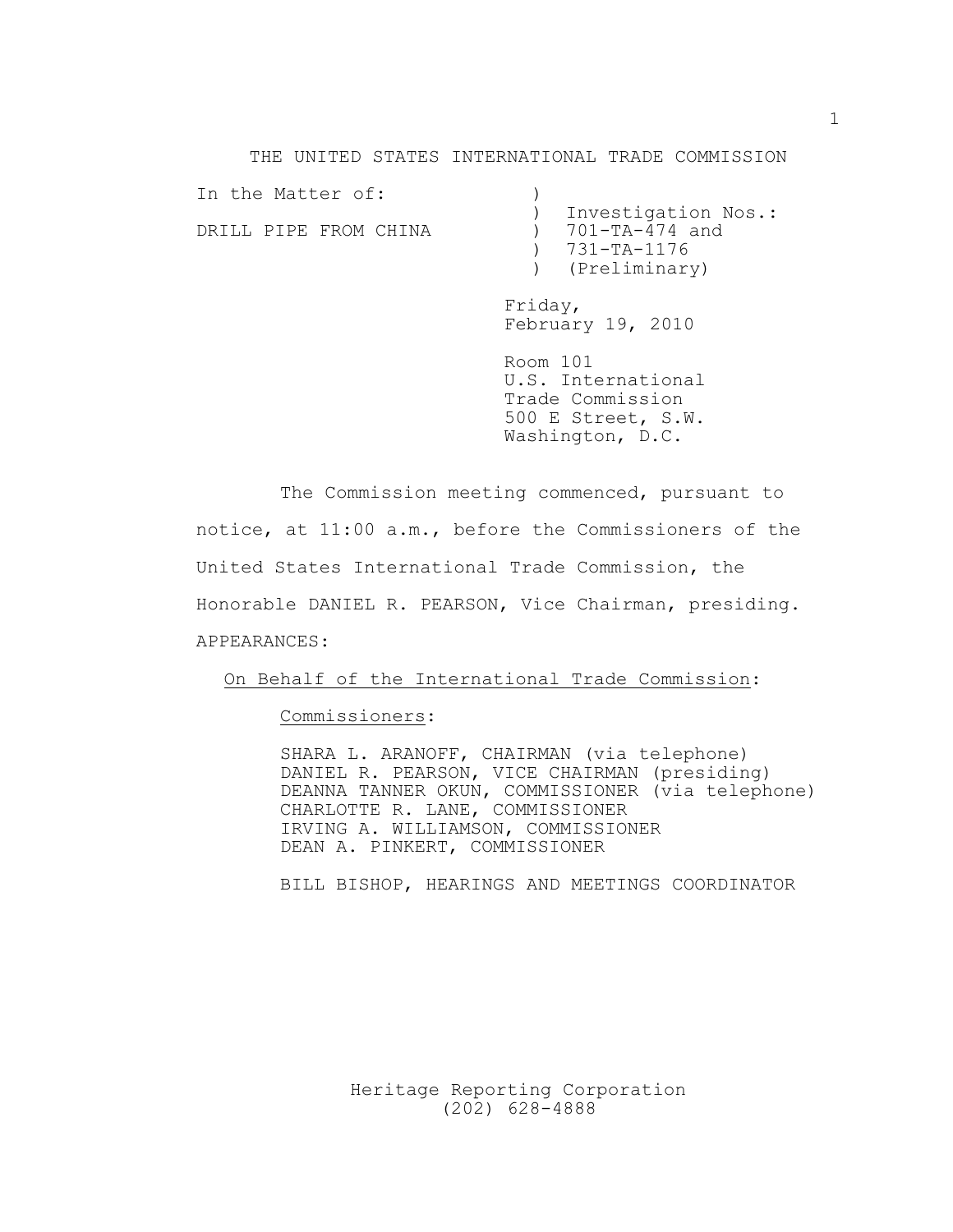THE UNITED STATES INTERNATIONAL TRADE COMMISSION

| In the Matter of:     |                     |
|-----------------------|---------------------|
|                       | Investigation Nos.: |
| DRILL PIPE FROM CHINA | ) 701-TA-474 and    |
|                       | $) 731 - TA - 1176$ |
|                       | ) (Preliminary)     |

Friday, February 19, 2010

Room 101 U.S. International Trade Commission 500 E Street, S.W. Washington, D.C.

The Commission meeting commenced, pursuant to notice, at 11:00 a.m., before the Commissioners of the United States International Trade Commission, the Honorable DANIEL R. PEARSON, Vice Chairman, presiding. APPEARANCES:

On Behalf of the International Trade Commission:

Commissioners:

SHARA L. ARANOFF, CHAIRMAN (via telephone) DANIEL R. PEARSON, VICE CHAIRMAN (presiding) DEANNA TANNER OKUN, COMMISSIONER (via telephone) CHARLOTTE R. LANE, COMMISSIONER IRVING A. WILLIAMSON, COMMISSIONER DEAN A. PINKERT, COMMISSIONER

BILL BISHOP, HEARINGS AND MEETINGS COORDINATOR

Heritage Reporting Corporation (202) 628-4888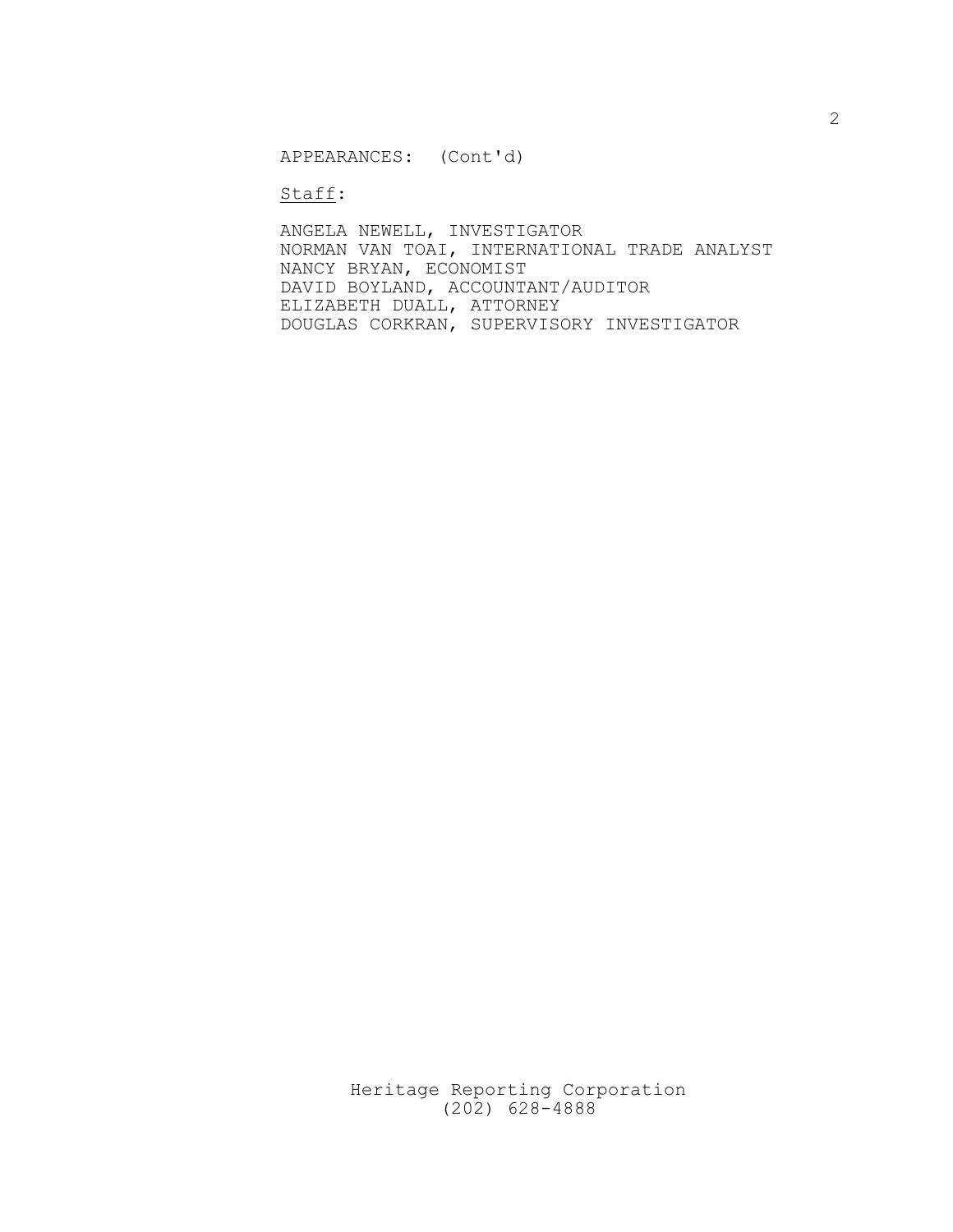APPEARANCES: (Cont'd)

Staff:

ANGELA NEWELL, INVESTIGATOR NORMAN VAN TOAI, INTERNATIONAL TRADE ANALYST NANCY BRYAN, ECONOMIST DAVID BOYLAND, ACCOUNTANT/AUDITOR ELIZABETH DUALL, ATTORNEY DOUGLAS CORKRAN, SUPERVISORY INVESTIGATOR

> Heritage Reporting Corporation (202) 628-4888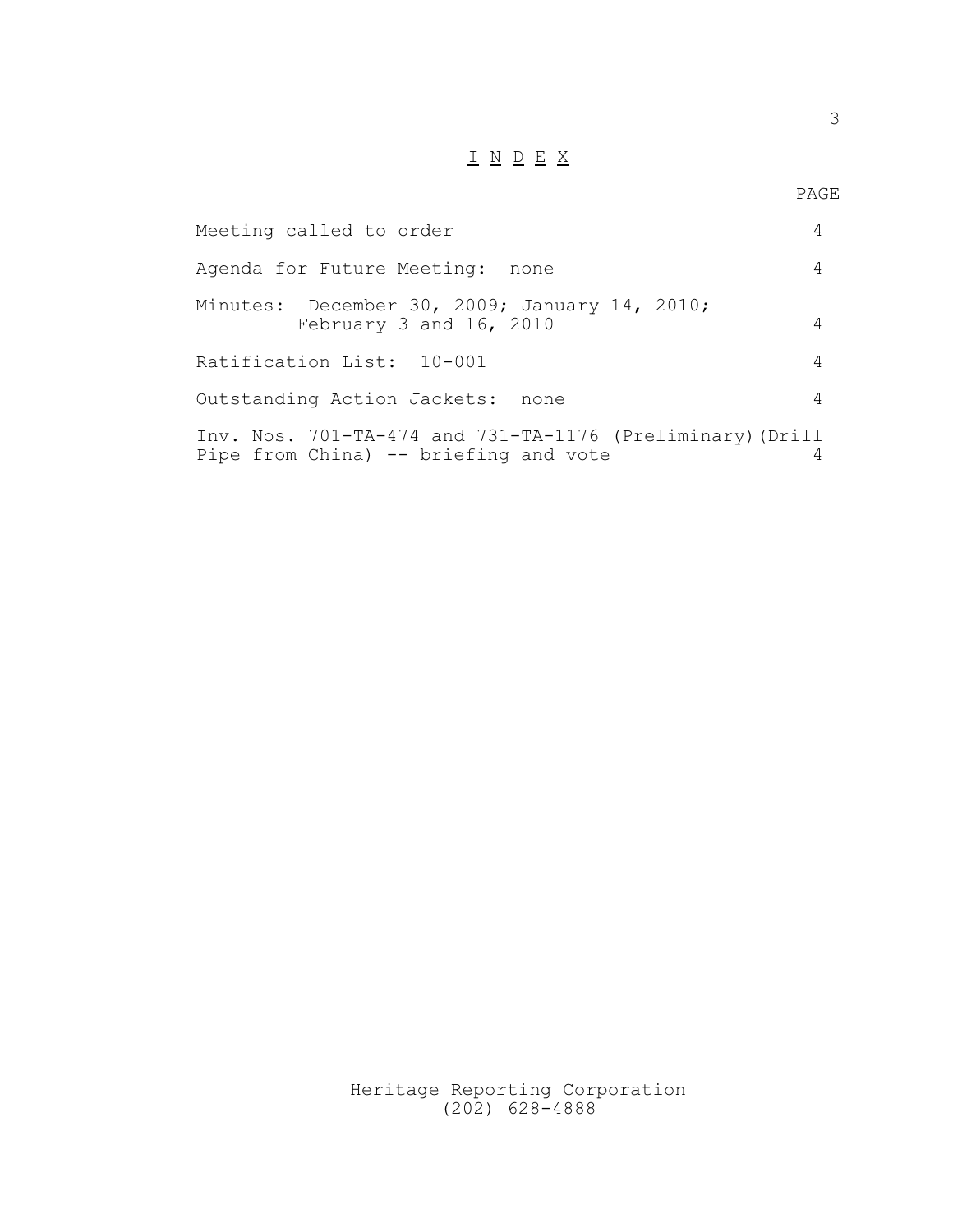## $\underline{\hskip 1cm I} \ \ \, \underline{N} \ \ \, \underline{D} \ \ \, \underline{E} \ \ \, \underline{X}$

| Meeting called to order                                                                            | 4 |
|----------------------------------------------------------------------------------------------------|---|
| Agenda for Future Meeting: none                                                                    | 4 |
| Minutes: December 30, 2009; January 14, 2010;<br>February 3 and 16, 2010                           | 4 |
| Ratification List: 10-001                                                                          | 4 |
| Outstanding Action Jackets: none                                                                   | 4 |
| Inv. Nos. 701-TA-474 and 731-TA-1176 (Preliminary) (Drill<br>Pipe from China) -- briefing and vote | 4 |

Heritage Reporting Corporation (202) 628-4888

3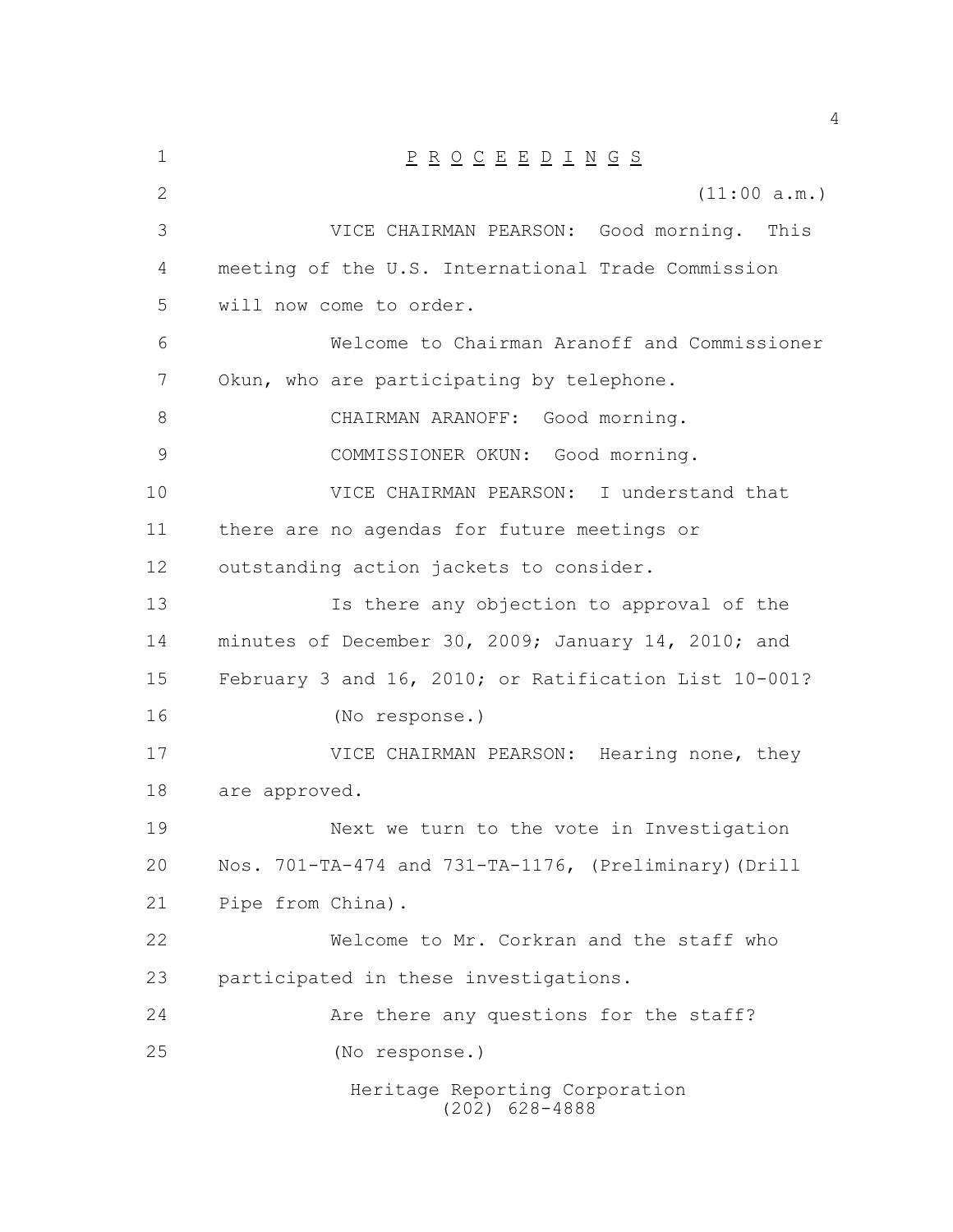| $\mathbf 1$ | $\underline{P} \underline{R} \underline{O} \underline{C} \underline{E} \underline{E} \underline{D} \underline{I} \underline{N} \underline{G} \underline{S}$ |
|-------------|-------------------------------------------------------------------------------------------------------------------------------------------------------------|
| 2           | (11:00 a.m.)                                                                                                                                                |
| 3           | VICE CHAIRMAN PEARSON: Good morning. This                                                                                                                   |
| 4           | meeting of the U.S. International Trade Commission                                                                                                          |
| 5           | will now come to order.                                                                                                                                     |
| 6           | Welcome to Chairman Aranoff and Commissioner                                                                                                                |
| 7           | Okun, who are participating by telephone.                                                                                                                   |
| 8           | CHAIRMAN ARANOFF: Good morning.                                                                                                                             |
| 9           | COMMISSIONER OKUN: Good morning.                                                                                                                            |
| 10          | VICE CHAIRMAN PEARSON: I understand that                                                                                                                    |
| 11          | there are no agendas for future meetings or                                                                                                                 |
| 12          | outstanding action jackets to consider.                                                                                                                     |
| 13          | Is there any objection to approval of the                                                                                                                   |
| 14          | minutes of December 30, 2009; January 14, 2010; and                                                                                                         |
| 15          | February 3 and 16, 2010; or Ratification List 10-001?                                                                                                       |
| 16          | (No response.)                                                                                                                                              |
| 17          | VICE CHAIRMAN PEARSON: Hearing none, they                                                                                                                   |
| 18          | are approved.                                                                                                                                               |
| 19          | Next we turn to the vote in Investigation                                                                                                                   |
| 20          | Nos. 701-TA-474 and 731-TA-1176, (Preliminary) (Drill                                                                                                       |
| 21          | Pipe from China).                                                                                                                                           |
| 22          | Welcome to Mr. Corkran and the staff who                                                                                                                    |
| 23          | participated in these investigations.                                                                                                                       |
| 24          | Are there any questions for the staff?                                                                                                                      |
| 25          | (No response.)                                                                                                                                              |
|             | Heritage Reporting Corporation<br>$(202)$ 628-4888                                                                                                          |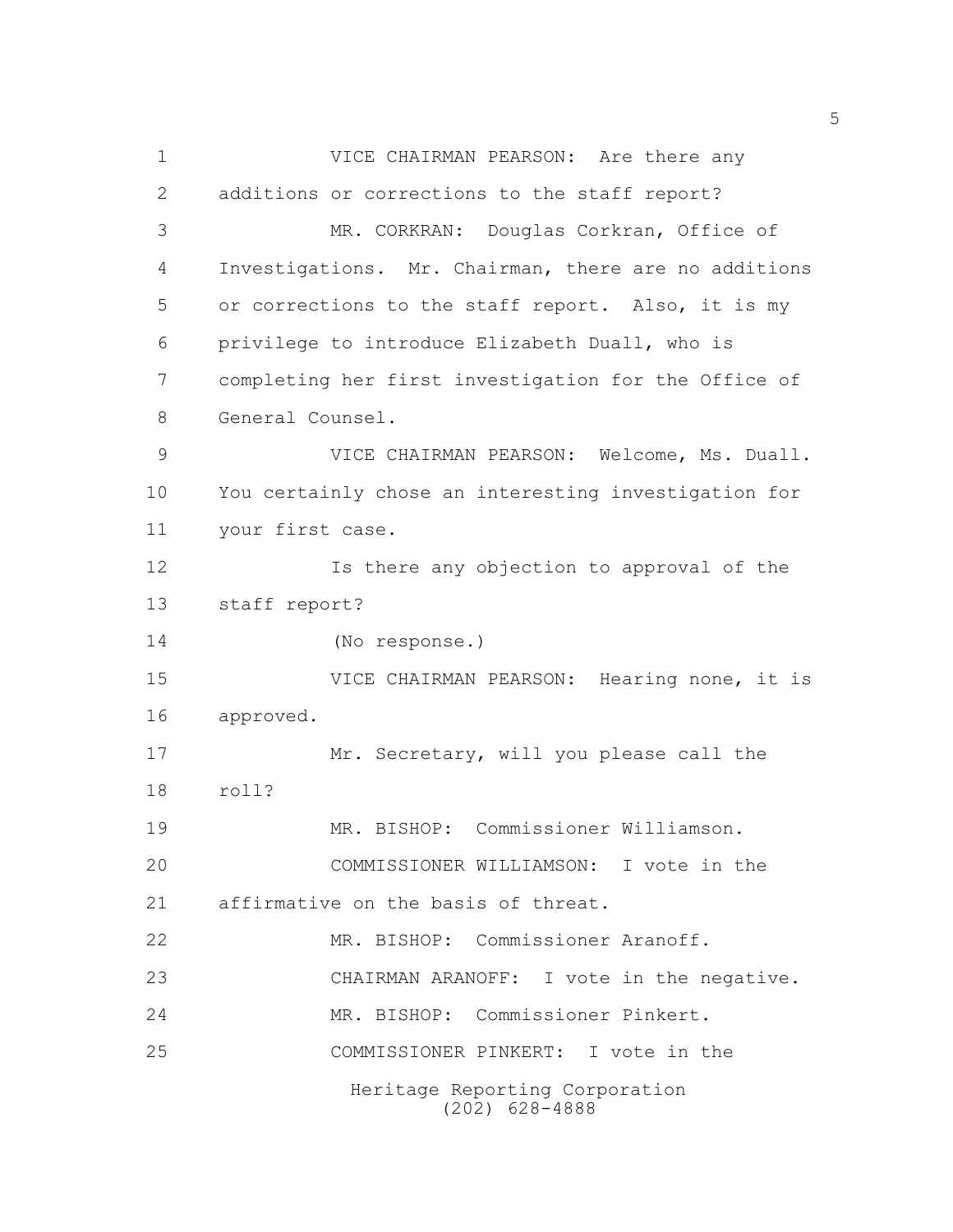Heritage Reporting Corporation (202) 628-4888 VICE CHAIRMAN PEARSON: Are there any additions or corrections to the staff report? MR. CORKRAN: Douglas Corkran, Office of Investigations. Mr. Chairman, there are no additions or corrections to the staff report. Also, it is my privilege to introduce Elizabeth Duall, who is completing her first investigation for the Office of General Counsel. VICE CHAIRMAN PEARSON: Welcome, Ms. Duall. You certainly chose an interesting investigation for your first case. Is there any objection to approval of the staff report? (No response.) VICE CHAIRMAN PEARSON: Hearing none, it is approved. 17 Mr. Secretary, will you please call the roll? MR. BISHOP: Commissioner Williamson. COMMISSIONER WILLIAMSON: I vote in the affirmative on the basis of threat. MR. BISHOP: Commissioner Aranoff. CHAIRMAN ARANOFF: I vote in the negative. MR. BISHOP: Commissioner Pinkert. COMMISSIONER PINKERT: I vote in the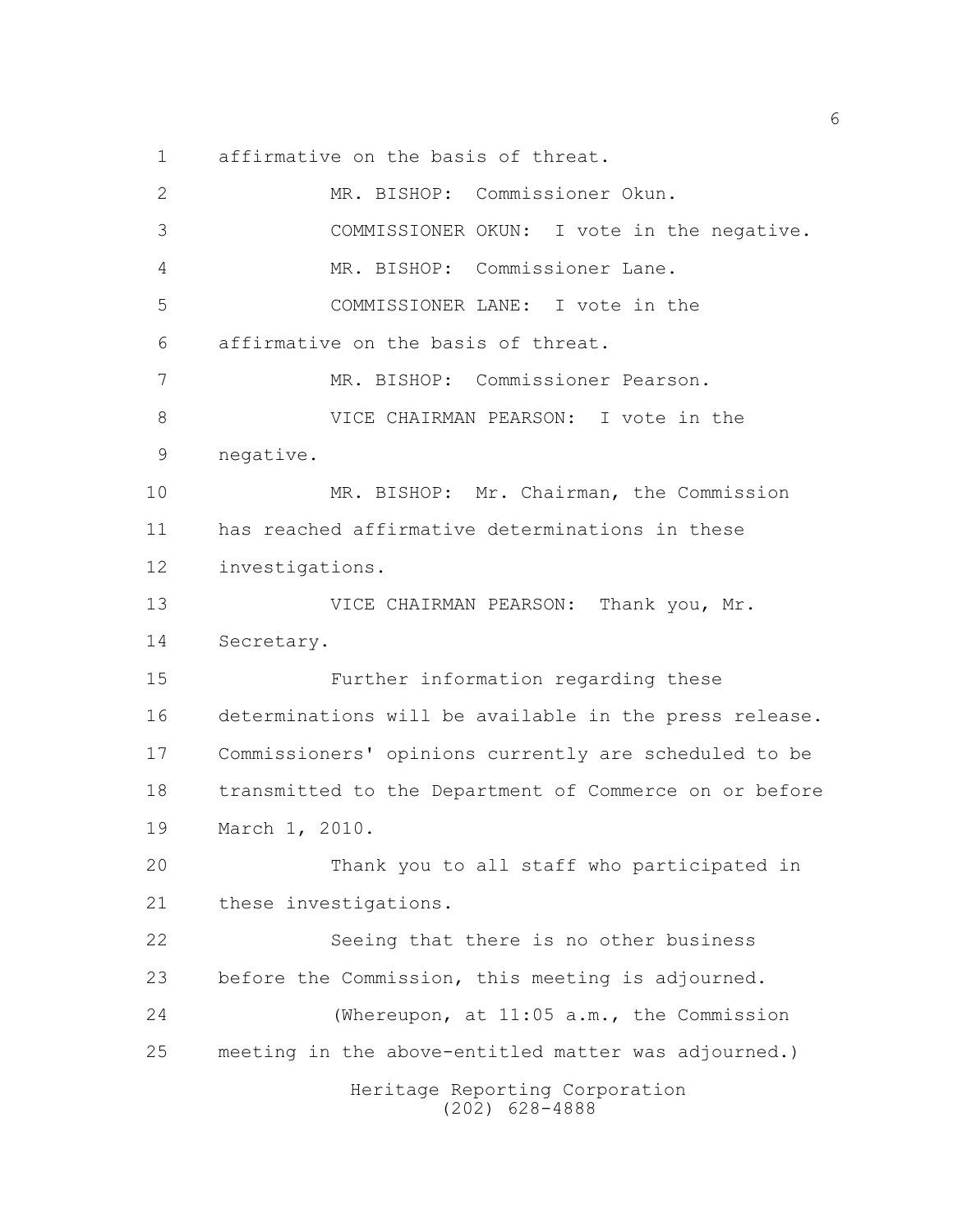affirmative on the basis of threat.

| 2  | MR. BISHOP: Commissioner Okun.                         |
|----|--------------------------------------------------------|
| 3  | COMMISSIONER OKUN: I vote in the negative.             |
| 4  | MR. BISHOP: Commissioner Lane.                         |
| 5  | COMMISSIONER LANE: I vote in the                       |
| 6  | affirmative on the basis of threat.                    |
| 7  | MR. BISHOP: Commissioner Pearson.                      |
| 8  | VICE CHAIRMAN PEARSON: I vote in the                   |
| 9  | negative.                                              |
| 10 | MR. BISHOP: Mr. Chairman, the Commission               |
| 11 | has reached affirmative determinations in these        |
| 12 | investigations.                                        |
| 13 | VICE CHAIRMAN PEARSON: Thank you, Mr.                  |
| 14 | Secretary.                                             |
| 15 | Further information regarding these                    |
| 16 | determinations will be available in the press release. |
| 17 | Commissioners' opinions currently are scheduled to be  |
| 18 | transmitted to the Department of Commerce on or before |
| 19 | March 1, 2010.                                         |
| 20 | Thank you to all staff who participated in             |
| 21 | these investigations.                                  |
| 22 | Seeing that there is no other business                 |
| 23 | before the Commission, this meeting is adjourned.      |
| 24 | (Whereupon, at 11:05 a.m., the Commission              |
| 25 | meeting in the above-entitled matter was adjourned.)   |
|    | Heritage Reporting Corporation<br>628-4888<br>(202)    |